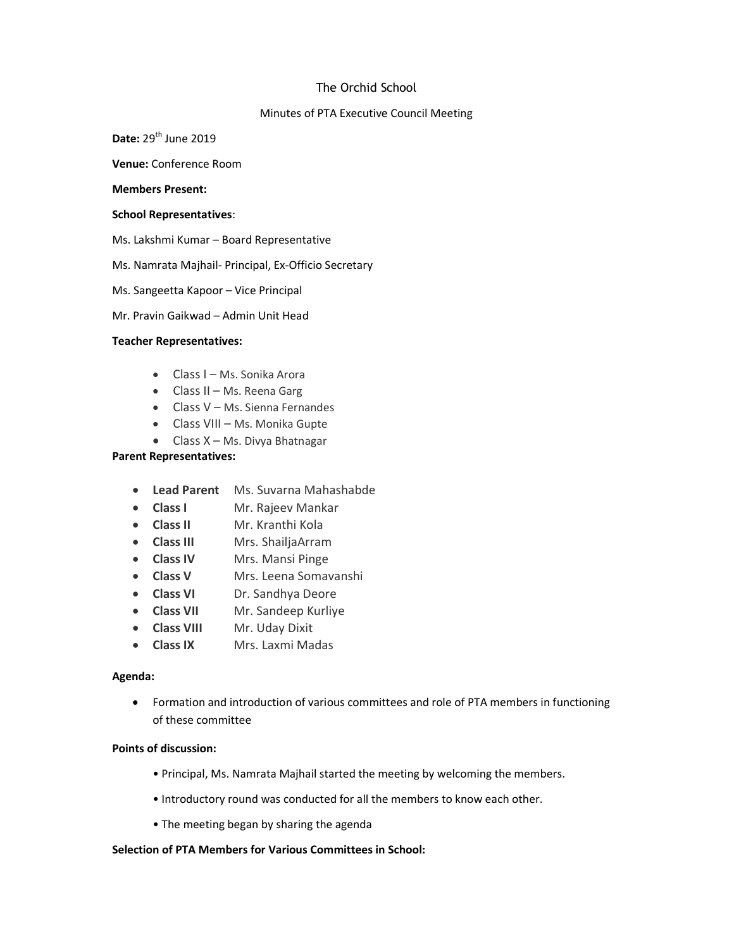# The Orchid School

## Minutes of PTA Executive Council Meeting

Date:  $29<sup>th</sup>$  June 2019

Venue: Conference Room

#### Members Present:

#### School Representatives:

- Ms. Lakshmi Kumar Board Representative
- Ms. Namrata Majhail- Principal, Ex-Officio Secretary
- Ms. Sangeetta Kapoor Vice Principal
- Mr. Pravin Gaikwad Admin Unit Head

### Teacher Representatives:

- Class I Ms. Sonika Arora
- Class II Ms. Reena Garg
- Class V Ms. Sienna Fernandes
- Class VIII Ms. Monika Gupte
- Class X Ms. Divya Bhatnagar

# Parent Representatives:

- Lead Parent Ms. Suvarna Mahashabde
- Class I Mr. Rajeev Mankar
- Class II Mr. Kranthi Kola
- Class III Mrs. ShailjaArram
- Class IV Mrs. Mansi Pinge
- Class V Mrs. Leena Somavanshi
- Class VI Dr. Sandhya Deore
- Class VII Mr. Sandeep Kurliye
- Class VIII Mr. Uday Dixit
- Class IX Mrs. Laxmi Madas

## Agenda:

 Formation and introduction of various committees and role of PTA members in functioning of these committee

### Points of discussion:

- Principal, Ms. Namrata Majhail started the meeting by welcoming the members.
- Introductory round was conducted for all the members to know each other.
- The meeting began by sharing the agenda

# Selection of PTA Members for Various Committees in School: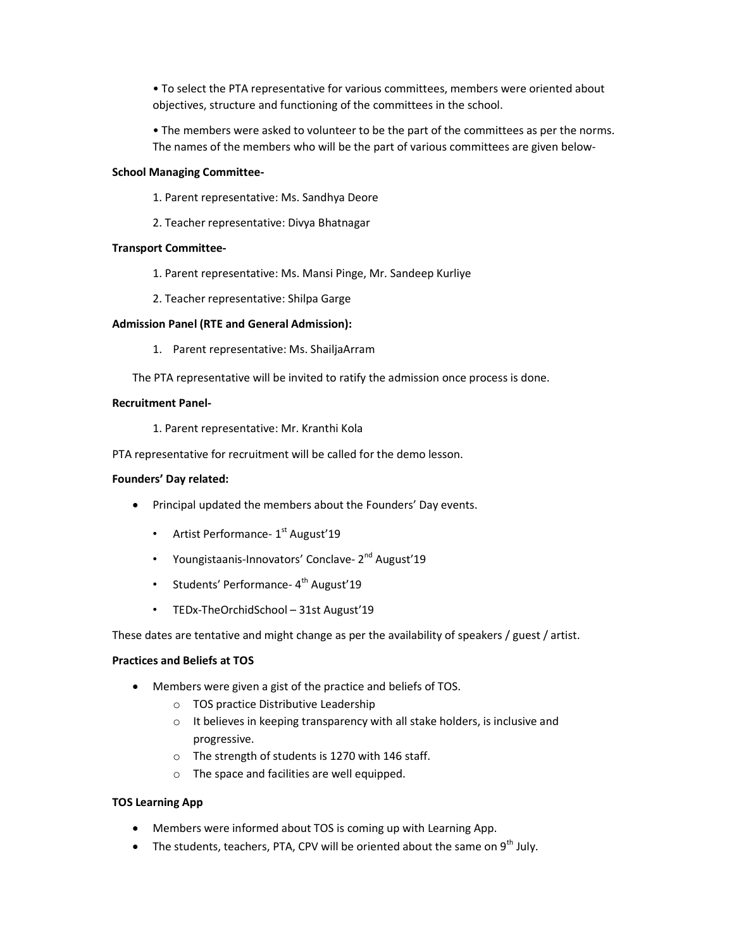• To select the PTA representative for various committees, members were oriented about objectives, structure and functioning of the committees in the school.

• The members were asked to volunteer to be the part of the committees as per the norms. The names of the members who will be the part of various committees are given below-

### School Managing Committee-

- 1. Parent representative: Ms. Sandhya Deore
- 2. Teacher representative: Divya Bhatnagar

### Transport Committee-

- 1. Parent representative: Ms. Mansi Pinge, Mr. Sandeep Kurliye
- 2. Teacher representative: Shilpa Garge

### Admission Panel (RTE and General Admission):

- 1. Parent representative: Ms. ShailjaArram
- The PTA representative will be invited to ratify the admission once process is done.

## Recruitment Panel-

1. Parent representative: Mr. Kranthi Kola

PTA representative for recruitment will be called for the demo lesson.

#### Founders' Day related:

- Principal updated the members about the Founders' Day events.
	- Artist Performance- $1<sup>st</sup>$  August'19
	- Youngistaanis-Innovators' Conclave- 2<sup>nd</sup> August'19
	- Students' Performance- 4<sup>th</sup> August'19
	- TEDx-TheOrchidSchool 31st August'19

These dates are tentative and might change as per the availability of speakers / guest / artist.

#### Practices and Beliefs at TOS

- Members were given a gist of the practice and beliefs of TOS.
	- o TOS practice Distributive Leadership
	- $\circ$  It believes in keeping transparency with all stake holders, is inclusive and progressive.
	- o The strength of students is 1270 with 146 staff.
	- o The space and facilities are well equipped.

## TOS Learning App

- Members were informed about TOS is coming up with Learning App.
- The students, teachers, PTA, CPV will be oriented about the same on  $9<sup>th</sup>$  July.